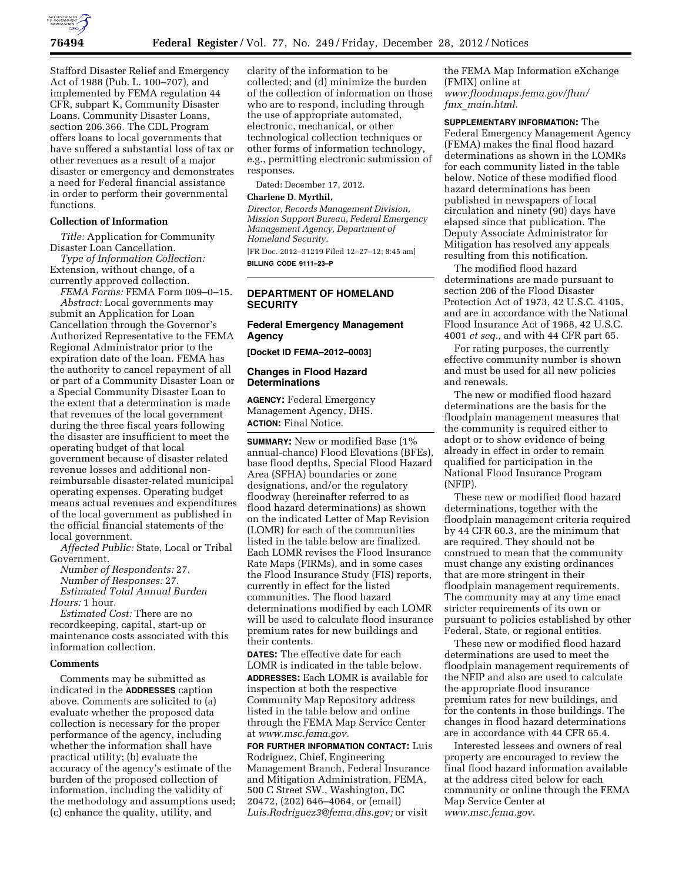

Stafford Disaster Relief and Emergency Act of 1988 (Pub. L. 100–707), and implemented by FEMA regulation 44 CFR, subpart K, Community Disaster Loans. Community Disaster Loans, section 206.366. The CDL Program offers loans to local governments that have suffered a substantial loss of tax or other revenues as a result of a major disaster or emergency and demonstrates a need for Federal financial assistance in order to perform their governmental functions.

## **Collection of Information**

*Title:* Application for Community Disaster Loan Cancellation.

*Type of Information Collection:*  Extension, without change, of a currently approved collection.

*FEMA Forms:* FEMA Form 009–0–15. *Abstract:* Local governments may submit an Application for Loan Cancellation through the Governor's Authorized Representative to the FEMA Regional Administrator prior to the expiration date of the loan. FEMA has the authority to cancel repayment of all or part of a Community Disaster Loan or a Special Community Disaster Loan to the extent that a determination is made that revenues of the local government during the three fiscal years following the disaster are insufficient to meet the operating budget of that local government because of disaster related revenue losses and additional nonreimbursable disaster-related municipal operating expenses. Operating budget means actual revenues and expenditures of the local government as published in the official financial statements of the local government.

*Affected Public:* State, Local or Tribal Government.

*Number of Respondents:* 27. *Number of Responses:* 27. *Estimated Total Annual Burden Hours:* 1 hour.

*Estimated Cost:* There are no recordkeeping, capital, start-up or maintenance costs associated with this information collection.

#### **Comments**

Comments may be submitted as indicated in the **ADDRESSES** caption above. Comments are solicited to (a) evaluate whether the proposed data collection is necessary for the proper performance of the agency, including whether the information shall have practical utility; (b) evaluate the accuracy of the agency's estimate of the burden of the proposed collection of information, including the validity of the methodology and assumptions used; (c) enhance the quality, utility, and

clarity of the information to be collected; and (d) minimize the burden of the collection of information on those who are to respond, including through the use of appropriate automated, electronic, mechanical, or other technological collection techniques or other forms of information technology, e.g., permitting electronic submission of responses.

Dated: December 17, 2012.

#### **Charlene D. Myrthil,**

*Director, Records Management Division, Mission Support Bureau, Federal Emergency Management Agency, Department of Homeland Security.* 

[FR Doc. 2012–31219 Filed 12–27–12; 8:45 am] **BILLING CODE 9111–23–P** 

## **DEPARTMENT OF HOMELAND SECURITY**

### **Federal Emergency Management Agency**

**[Docket ID FEMA–2012–0003]** 

### **Changes in Flood Hazard Determinations**

**AGENCY:** Federal Emergency Management Agency, DHS. **ACTION:** Final Notice.

**SUMMARY:** New or modified Base (1% annual-chance) Flood Elevations (BFEs), base flood depths, Special Flood Hazard Area (SFHA) boundaries or zone designations, and/or the regulatory floodway (hereinafter referred to as flood hazard determinations) as shown on the indicated Letter of Map Revision (LOMR) for each of the communities listed in the table below are finalized. Each LOMR revises the Flood Insurance Rate Maps (FIRMs), and in some cases the Flood Insurance Study (FIS) reports, currently in effect for the listed communities. The flood hazard determinations modified by each LOMR will be used to calculate flood insurance premium rates for new buildings and their contents.

**DATES:** The effective date for each LOMR is indicated in the table below. **ADDRESSES:** Each LOMR is available for inspection at both the respective Community Map Repository address listed in the table below and online through the FEMA Map Service Center at *www.msc.fema.gov.* 

**FOR FURTHER INFORMATION CONTACT:** Luis Rodriguez, Chief, Engineering Management Branch, Federal Insurance and Mitigation Administration, FEMA, 500 C Street SW., Washington, DC 20472, (202) 646–4064, or (email) *Luis.Rodriguez3@fema.dhs.gov;* or visit

the FEMA Map Information eXchange (FMIX) online at *www.floodmaps.fema.gov/fhm/ fmx*\_*main.html.* 

**SUPPLEMENTARY INFORMATION:** The Federal Emergency Management Agency (FEMA) makes the final flood hazard determinations as shown in the LOMRs for each community listed in the table below. Notice of these modified flood hazard determinations has been published in newspapers of local circulation and ninety (90) days have elapsed since that publication. The Deputy Associate Administrator for Mitigation has resolved any appeals resulting from this notification.

The modified flood hazard determinations are made pursuant to section 206 of the Flood Disaster Protection Act of 1973, 42 U.S.C. 4105, and are in accordance with the National Flood Insurance Act of 1968, 42 U.S.C. 4001 *et seq.,* and with 44 CFR part 65.

For rating purposes, the currently effective community number is shown and must be used for all new policies and renewals.

The new or modified flood hazard determinations are the basis for the floodplain management measures that the community is required either to adopt or to show evidence of being already in effect in order to remain qualified for participation in the National Flood Insurance Program (NFIP).

These new or modified flood hazard determinations, together with the floodplain management criteria required by 44 CFR 60.3, are the minimum that are required. They should not be construed to mean that the community must change any existing ordinances that are more stringent in their floodplain management requirements. The community may at any time enact stricter requirements of its own or pursuant to policies established by other Federal, State, or regional entities.

These new or modified flood hazard determinations are used to meet the floodplain management requirements of the NFIP and also are used to calculate the appropriate flood insurance premium rates for new buildings, and for the contents in those buildings. The changes in flood hazard determinations are in accordance with 44 CFR 65.4.

Interested lessees and owners of real property are encouraged to review the final flood hazard information available at the address cited below for each community or online through the FEMA Map Service Center at *www.msc.fema.gov.*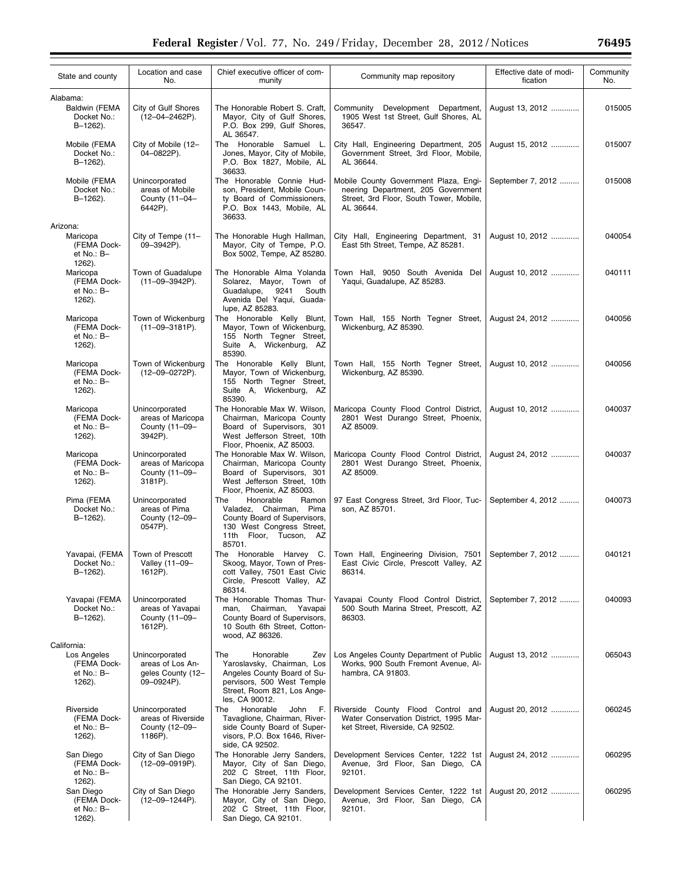| State and county                                                  | Location and case<br>No.                                              | Chief executive officer of com-<br>munity                                                                                                                                          | Community map repository                                                                                                            | Effective date of modi-<br>fication | Community<br>No. |
|-------------------------------------------------------------------|-----------------------------------------------------------------------|------------------------------------------------------------------------------------------------------------------------------------------------------------------------------------|-------------------------------------------------------------------------------------------------------------------------------------|-------------------------------------|------------------|
| Alabama:                                                          |                                                                       |                                                                                                                                                                                    |                                                                                                                                     |                                     |                  |
| Baldwin (FEMA<br>Docket No.:<br>B-1262).                          | City of Gulf Shores<br>$(12 - 04 - 2462P)$ .                          | The Honorable Robert S. Craft,<br>Mayor, City of Gulf Shores,<br>P.O. Box 299, Gulf Shores,<br>AL 36547.                                                                           | Development Department,<br>Community<br>1905 West 1st Street, Gulf Shores, AL<br>36547.                                             | August 13, 2012                     | 015005           |
| Mobile (FEMA<br>Docket No.:<br>B-1262).                           | City of Mobile (12-<br>04-0822P).                                     | The Honorable Samuel L.<br>Jones, Mayor, City of Mobile,<br>P.O. Box 1827, Mobile, AL<br>36633.                                                                                    | City Hall, Engineering Department, 205<br>Government Street, 3rd Floor, Mobile,<br>AL 36644.                                        | August 15, 2012                     | 015007           |
| Mobile (FEMA<br>Docket No.:<br>B-1262).                           | Unincorporated<br>areas of Mobile<br>County (11-04-<br>6442P).        | The Honorable Connie Hud-<br>son, President, Mobile Coun-<br>ty Board of Commissioners,<br>P.O. Box 1443, Mobile, AL<br>36633.                                                     | Mobile County Government Plaza, Engi-<br>neering Department, 205 Government<br>Street, 3rd Floor, South Tower, Mobile,<br>AL 36644. | September 7, 2012                   | 015008           |
| Arizona:                                                          |                                                                       |                                                                                                                                                                                    |                                                                                                                                     |                                     |                  |
| Maricopa<br>(FEMA Dock-<br>et No.: B-<br>1262).                   | City of Tempe (11-<br>09-3942P).                                      | The Honorable Hugh Hallman,<br>Mayor, City of Tempe, P.O.<br>Box 5002, Tempe, AZ 85280.                                                                                            | City Hall, Engineering Department, 31<br>East 5th Street, Tempe, AZ 85281.                                                          | August 10, 2012                     | 040054           |
| Maricopa<br>(FEMA Dock-<br>$et No.: B-$<br>1262).                 | Town of Guadalupe<br>$(11-09-3942P)$ .                                | The Honorable Alma Yolanda<br>Solarez, Mayor, Town of<br>Guadalupe,<br>9241<br>South<br>Avenida Del Yaqui, Guada-<br>lupe, AZ 85283.                                               | Town Hall, 9050 South Avenida Del<br>Yaqui, Guadalupe, AZ 85283.                                                                    | August 10, 2012                     | 040111           |
| Maricopa<br>(FEMA Dock-<br>$et No.: B-$<br>1262).                 | Town of Wickenburg<br>$(11-09-3181P)$ .                               | The Honorable Kelly Blunt,<br>Mayor, Town of Wickenburg,<br>155 North Tegner Street,<br>Suite A, Wickenburg, AZ<br>85390.                                                          | Town Hall, 155 North Tegner Street,<br>Wickenburg, AZ 85390.                                                                        | August 24, 2012                     | 040056           |
| Maricopa<br>(FEMA Dock-<br>et No.: B-<br>1262).                   | Town of Wickenburg<br>$(12 - 09 - 0272P)$ .                           | The Honorable Kelly Blunt,<br>Mayor, Town of Wickenburg,<br>155 North Tegner Street,<br>Suite A, Wickenburg, AZ                                                                    | Town Hall, 155 North Tegner Street,<br>Wickenburg, AZ 85390.                                                                        | August 10, 2012                     | 040056           |
| Maricopa<br>(FEMA Dock-<br>et No.: B-<br>1262).                   | Unincorporated<br>areas of Maricopa<br>County (11-09-<br>3942P).      | 85390.<br>The Honorable Max W. Wilson,<br>Chairman, Maricopa County<br>Board of Supervisors, 301<br>West Jefferson Street, 10th                                                    | Maricopa County Flood Control District,<br>2801 West Durango Street, Phoenix,<br>AZ 85009.                                          | August 10, 2012                     | 040037           |
| Maricopa<br>(FEMA Dock-<br>et No.: B-<br>1262).                   | Unincorporated<br>areas of Maricopa<br>County (11-09-<br>3181P).      | Floor, Phoenix, AZ 85003.<br>The Honorable Max W. Wilson,<br>Chairman, Maricopa County<br>Board of Supervisors, 301<br>West Jefferson Street, 10th                                 | Maricopa County Flood Control District,<br>2801 West Durango Street, Phoenix,<br>AZ 85009.                                          | August 24, 2012                     | 040037           |
| Pima (FEMA<br>Docket No.:<br>$B-1262$ ).                          | Unincorporated<br>areas of Pima<br>County (12-09-<br>0547P).          | Floor, Phoenix, AZ 85003.<br>The<br>Honorable<br>Ramon<br>Valadez, Chairman, Pima<br>County Board of Supervisors,<br>130 West Congress Street,<br>11th Floor, Tucson, AZ<br>85701. | 97 East Congress Street, 3rd Floor, Tuc-<br>son, AZ 85701.                                                                          | September 4, 2012                   | 040073           |
| Yavapai, (FEMA<br>Docket No.:<br>B-1262).                         | Town of Prescott<br>Valley (11-09-<br>1612P).                         | The Honorable Harvey C.<br>Skoog, Mayor, Town of Pres-<br>cott Valley, 7501 East Civic<br>Circle, Prescott Valley, AZ<br>86314.                                                    | Town Hall, Engineering Division, 7501   September 7, 2012<br>East Civic Circle, Prescott Valley, AZ<br>86314.                       |                                     | 040121           |
| Yavapai (FEMA<br>Docket No.:<br>B-1262).                          | Unincorporated<br>areas of Yavapai<br>County (11-09-<br>1612P).       | The Honorable Thomas Thur-<br>man.<br>Chairman, Yavapai<br>County Board of Supervisors,<br>10 South 6th Street, Cotton-                                                            | Yavapai County Flood Control District,<br>500 South Marina Street, Prescott, AZ<br>86303.                                           | September 7, 2012                   | 040093           |
|                                                                   |                                                                       | wood, AZ 86326.                                                                                                                                                                    |                                                                                                                                     |                                     |                  |
| California:<br>Los Angeles<br>(FEMA Dock-<br>et No.: B-<br>1262). | Unincorporated<br>areas of Los An-<br>geles County (12-<br>09-0924P). | Honorable<br>The<br>Zev<br>Yaroslavsky, Chairman, Los<br>Angeles County Board of Su-<br>pervisors, 500 West Temple<br>Street, Room 821, Los Ange-<br>les, CA 90012.                | Los Angeles County Department of Public<br>Works, 900 South Fremont Avenue, Al-<br>hambra, CA 91803.                                | August 13, 2012                     | 065043           |
| Riverside<br>(FEMA Dock-<br>et No.: B-<br>1262).                  | Unincorporated<br>areas of Riverside<br>County (12-09-<br>1186P).     | Honorable<br>John<br>The<br>F.<br>Tavaglione, Chairman, River-<br>side County Board of Super-<br>visors, P.O. Box 1646, River-<br>side, CA 92502.                                  | Riverside County Flood Control and<br>Water Conservation District, 1995 Mar-<br>ket Street, Riverside, CA 92502.                    | August 20, 2012                     | 060245           |
| San Diego<br>(FEMA Dock-<br>et No.: B-<br>1262).                  | City of San Diego<br>(12-09-0919P).                                   | The Honorable Jerry Sanders,<br>Mayor, City of San Diego,<br>202 C Street, 11th Floor,<br>San Diego, CA 92101.                                                                     | Development Services Center, 1222 1st<br>Avenue, 3rd Floor, San Diego, CA<br>92101.                                                 | August 24, 2012                     | 060295           |
| San Diego<br>(FEMA Dock-<br>et No.: B-<br>1262).                  | City of San Diego<br>$(12-09-1244P).$                                 | The Honorable Jerry Sanders,<br>Mayor, City of San Diego,<br>202 C Street, 11th Floor,<br>San Diego, CA 92101.                                                                     | Development Services Center, 1222 1st<br>Avenue, 3rd Floor, San Diego, CA<br>92101.                                                 | August 20, 2012                     | 060295           |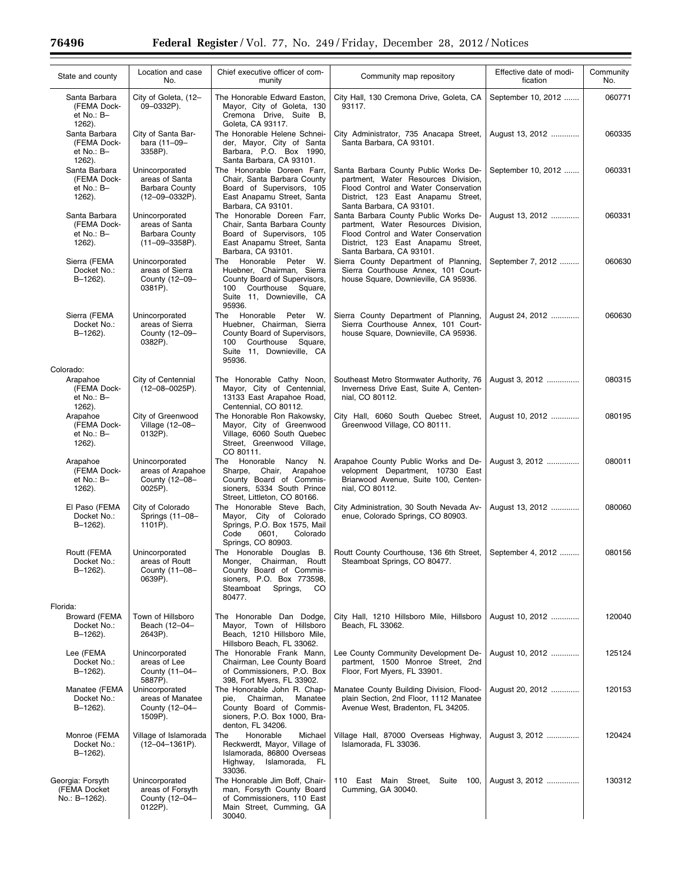| State and county                                     | Location and case<br>No.                                                           | Chief executive officer of com-<br>munity                                                                                                               | Community map repository                                                                                                                                                               | Effective date of modi-<br>fication | Community<br>No. |
|------------------------------------------------------|------------------------------------------------------------------------------------|---------------------------------------------------------------------------------------------------------------------------------------------------------|----------------------------------------------------------------------------------------------------------------------------------------------------------------------------------------|-------------------------------------|------------------|
| Santa Barbara<br>(FEMA Dock-<br>et No.: B-<br>1262). | City of Goleta, (12-<br>09-0332P).                                                 | The Honorable Edward Easton,<br>Mayor, City of Goleta, 130<br>Cremona Drive, Suite B,<br>Goleta, CA 93117.                                              | City Hall, 130 Cremona Drive, Goleta, CA<br>93117.                                                                                                                                     | September 10, 2012                  | 060771           |
| Santa Barbara<br>(FEMA Dock-<br>et No.: B-<br>1262). | City of Santa Bar-<br>bara (11-09-<br>3358P).                                      | The Honorable Helene Schnei-<br>der, Mayor, City of Santa<br>Barbara, P.O. Box 1990,<br>Santa Barbara, CA 93101.                                        | City Administrator, 735 Anacapa Street,<br>Santa Barbara, CA 93101.                                                                                                                    | August 13, 2012                     | 060335           |
| Santa Barbara<br>(FEMA Dock-<br>et No.: B-<br>1262). | Unincorporated<br>areas of Santa<br><b>Barbara County</b><br>$(12 - 09 - 0332P)$ . | The Honorable Doreen Farr,<br>Chair, Santa Barbara County<br>Board of Supervisors, 105<br>East Anapamu Street, Santa<br>Barbara, CA 93101.              | Santa Barbara County Public Works De-<br>partment, Water Resources Division,<br>Flood Control and Water Conservation<br>District, 123 East Anapamu Street,<br>Santa Barbara, CA 93101. | September 10, 2012                  | 060331           |
| Santa Barbara<br>(FEMA Dock-<br>et No.: B-<br>1262). | Unincorporated<br>areas of Santa<br><b>Barbara County</b><br>$(11-09-3358P)$ .     | The Honorable Doreen Farr,<br>Chair, Santa Barbara County<br>Board of Supervisors, 105<br>East Anapamu Street, Santa<br>Barbara, CA 93101.              | Santa Barbara County Public Works De-<br>partment, Water Resources Division,<br>Flood Control and Water Conservation<br>District, 123 East Anapamu Street,<br>Santa Barbara, CA 93101. | August 13, 2012                     | 060331           |
| Sierra (FEMA<br>Docket No.:<br>B-1262).              | Unincorporated<br>areas of Sierra<br>County (12-09-<br>0381P).                     | Honorable Peter W.<br>The<br>Huebner, Chairman, Sierra<br>County Board of Supervisors,<br>100 Courthouse Square,<br>Suite 11, Downieville, CA<br>95936. | Sierra County Department of Planning,<br>Sierra Courthouse Annex, 101 Court-<br>house Square, Downieville, CA 95936.                                                                   | September 7, 2012                   | 060630           |
| Sierra (FEMA<br>Docket No.:<br>$B-1262$ ).           | Unincorporated<br>areas of Sierra<br>County (12-09-<br>0382P).                     | The Honorable Peter<br>W.<br>Huebner, Chairman, Sierra<br>County Board of Supervisors,<br>100 Courthouse Square,<br>Suite 11, Downieville, CA<br>95936. | Sierra County Department of Planning,<br>Sierra Courthouse Annex, 101 Court-<br>house Square, Downieville, CA 95936.                                                                   | August 24, 2012                     | 060630           |
| Colorado:                                            |                                                                                    |                                                                                                                                                         |                                                                                                                                                                                        |                                     |                  |
| Arapahoe<br>(FEMA Dock-<br>et No.: B-<br>1262).      | City of Centennial<br>$(12 - 08 - 0025P)$ .                                        | The Honorable Cathy Noon,<br>Mayor, City of Centennial,<br>13133 East Arapahoe Road,<br>Centennial, CO 80112.                                           | Southeast Metro Stormwater Authority, 76<br>Inverness Drive East, Suite A, Centen-<br>nial, CO 80112.                                                                                  | August 3, 2012                      | 080315           |
| Arapahoe<br>(FEMA Dock-<br>et No.: B-<br>1262).      | City of Greenwood<br>Village (12-08-<br>0132P).                                    | The Honorable Ron Rakowsky,<br>Mayor, City of Greenwood<br>Village, 6060 South Quebec<br>Street, Greenwood Village,<br>CO 80111.                        | City Hall, 6060 South Quebec Street,<br>Greenwood Village, CO 80111.                                                                                                                   | August 10, 2012                     | 080195           |
| Arapahoe<br>(FEMA Dock-<br>et No.: B-<br>1262).      | Unincorporated<br>areas of Arapahoe<br>County (12-08-<br>0025P).                   | The Honorable<br>Nancy N.<br>Sharpe, Chair, Arapahoe<br>County Board of Commis-<br>sioners, 5334 South Prince<br>Street, Littleton, CO 80166.           | Arapahoe County Public Works and De-<br>velopment Department, 10730 East<br>Briarwood Avenue, Suite 100, Centen-<br>nial, CO 80112.                                                    | August 3, 2012                      | 080011           |
| El Paso (FEMA<br>Docket No.:<br>B-1262).             | City of Colorado<br>Springs (11-08-<br>1101P).                                     | The Honorable Steve Bach,<br>Mayor, City of Colorado<br>Springs, P.O. Box 1575, Mail<br>Code<br>0601,<br>Colorado<br>Springs, CO 80903.                 | City Administration, 30 South Nevada Av-<br>enue, Colorado Springs, CO 80903.                                                                                                          | August 13, 2012                     | 080060           |
| Routt (FEMA<br>Docket No.:<br>B-1262).               | Unincorporated<br>areas of Routt<br>County (11-08-<br>0639P).                      | The Honorable Douglas B.<br>Monger, Chairman, Routt<br>County Board of Commis-<br>sioners, P.O. Box 773598,<br>Steamboat Springs,<br>CO.<br>80477.      | Routt County Courthouse, 136 6th Street,  <br>Steamboat Springs, CO 80477.                                                                                                             | September 4, 2012                   | 080156           |
| Florida:                                             |                                                                                    |                                                                                                                                                         |                                                                                                                                                                                        |                                     |                  |
| <b>Broward (FEMA</b><br>Docket No.:<br>B-1262).      | Town of Hillsboro<br>Beach (12-04-<br>2643P).                                      | The Honorable Dan Dodge,<br>Mayor, Town of Hillsboro<br>Beach, 1210 Hillsboro Mile,<br>Hillsboro Beach, FL 33062.                                       | City Hall, 1210 Hillsboro Mile, Hillsboro<br>Beach, FL 33062.                                                                                                                          | August 10, 2012                     | 120040           |
| Lee (FEMA<br>Docket No.:<br>B-1262).                 | Unincorporated<br>areas of Lee<br>County (11-04-<br>5887P).                        | The Honorable Frank Mann,<br>Chairman, Lee County Board<br>of Commissioners, P.O. Box<br>398, Fort Myers, FL 33902.                                     | Lee County Community Development De-<br>partment, 1500 Monroe Street, 2nd<br>Floor, Fort Myers, FL 33901.                                                                              | August 10, 2012                     | 125124           |
| Manatee (FEMA<br>Docket No.:<br>B-1262).             | Unincorporated<br>areas of Manatee<br>County (12-04-<br>1509P).                    | The Honorable John R. Chap-<br>Chairman,<br>Manatee<br>pie,<br>County Board of Commis-<br>sioners, P.O. Box 1000, Bra-<br>denton, FL 34206.             | Manatee County Building Division, Flood-<br>plain Section, 2nd Floor, 1112 Manatee<br>Avenue West, Bradenton, FL 34205.                                                                | August 20, 2012                     | 120153           |
| Monroe (FEMA<br>Docket No.:<br>B-1262).              | Village of Islamorada<br>$(12 - 04 - 1361P)$ .                                     | Honorable<br>The<br>Michael<br>Reckwerdt, Mayor, Village of<br>Islamorada, 86800 Overseas<br>Islamorada, FL<br>Highway,<br>33036.                       | Village Hall, 87000 Overseas Highway,<br>Islamorada, FL 33036.                                                                                                                         | August 3, 2012                      | 120424           |
| Georgia: Forsyth<br>(FEMA Docket<br>No.: B-1262).    | Unincorporated<br>areas of Forsyth<br>County (12-04-<br>0122P).                    | The Honorable Jim Boff, Chair-<br>man, Forsyth County Board<br>of Commissioners, 110 East<br>Main Street, Cumming, GA<br>30040.                         | 110 East Main Street,<br>Suite<br>100.<br>Cumming, GA 30040.                                                                                                                           | August 3, 2012                      | 130312           |